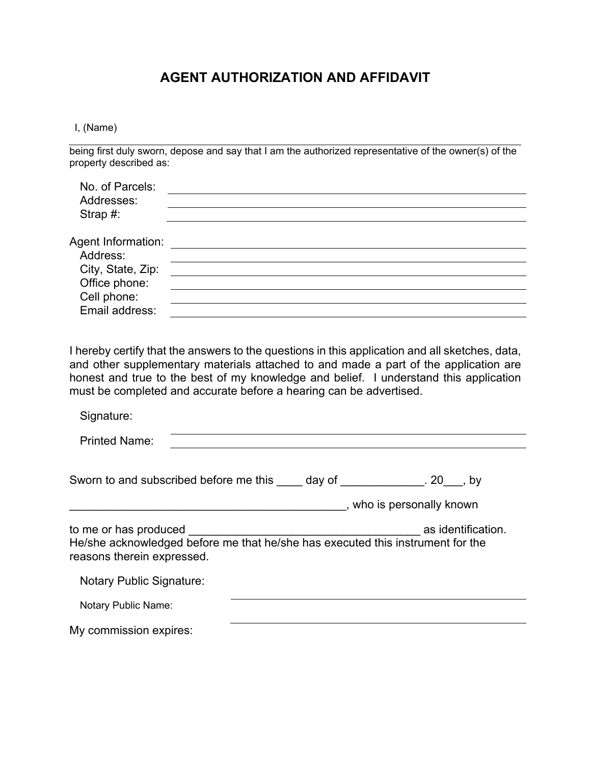### **AGENT AUTHORIZATION AND AFFIDAVIT**

I, (Name)

being first duly sworn, depose and say that I am the authorized representative of the owner(s) of the property described as:

| No. of Parcels:    |  |
|--------------------|--|
| Addresses:         |  |
| Strap $#$ :        |  |
|                    |  |
| Agent Information: |  |
| Address:           |  |
| City, State, Zip:  |  |
| Office phone:      |  |
| Cell phone:        |  |
| Email address:     |  |

I hereby certify that the answers to the questions in this application and all sketches, data, and other supplementary materials attached to and made a part of the application are honest and true to the best of my knowledge and belief. I understand this application must be completed and accurate before a hearing can be advertised.

| Signature:                      |                                                                                                                               |                           |
|---------------------------------|-------------------------------------------------------------------------------------------------------------------------------|---------------------------|
| <b>Printed Name:</b>            |                                                                                                                               |                           |
|                                 | Sworn to and subscribed before me this day of _______________. 20___, by                                                      | , who is personally known |
| reasons therein expressed.      | to me or has produced to me or has produced<br>He/she acknowledged before me that he/she has executed this instrument for the | as identification.        |
| <b>Notary Public Signature:</b> |                                                                                                                               |                           |
| Notary Public Name:             |                                                                                                                               |                           |
| My commission expires:          |                                                                                                                               |                           |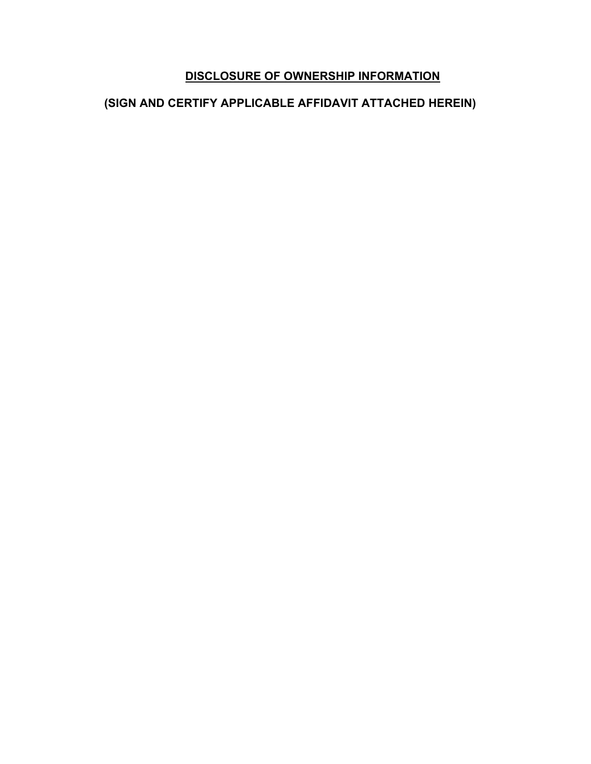#### **DISCLOSURE OF OWNERSHIP INFORMATION**

### **(SIGN AND CERTIFY APPLICABLE AFFIDAVIT ATTACHED HEREIN)**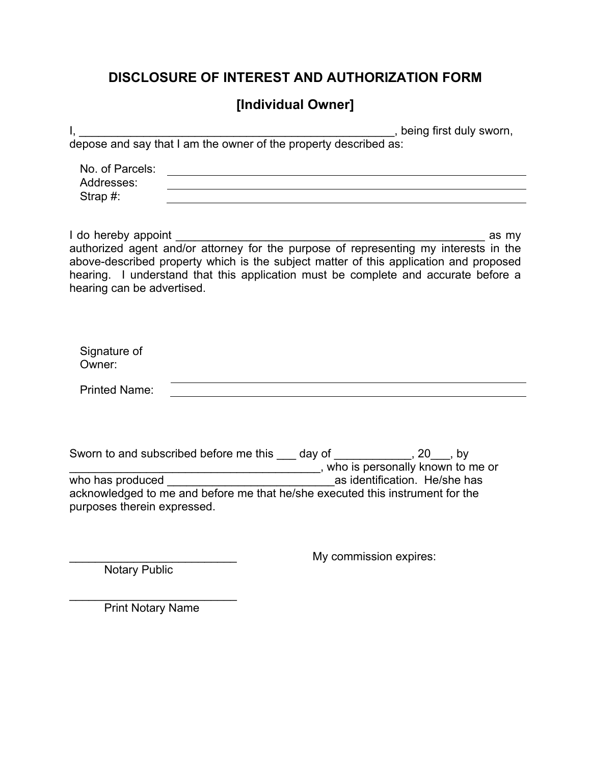## **[Individual Owner]**

|                                                 | being first duly sworn,                                                                                                                                                                                                                             |
|-------------------------------------------------|-----------------------------------------------------------------------------------------------------------------------------------------------------------------------------------------------------------------------------------------------------|
|                                                 |                                                                                                                                                                                                                                                     |
| No. of Parcels:<br>Addresses:<br>Strap $#$ :    | <u> 1989 - Johann Stoff, deutscher Stoff, der Stoff, der Stoff, der Stoff, der Stoff, der Stoff, der Stoff, der S</u>                                                                                                                               |
| hearing can be advertised.                      | above-described property which is the subject matter of this application and proposed<br>hearing. I understand that this application must be complete and accurate before a                                                                         |
| Signature of<br>Owner:                          |                                                                                                                                                                                                                                                     |
| <b>Printed Name:</b>                            |                                                                                                                                                                                                                                                     |
| who has produced<br>purposes therein expressed. | Sworn to and subscribed before me this ___ day of ____________, 20___, by<br>who is personally known to me or<br>____________________as identification. He/she has<br>acknowledged to me and before me that he/she executed this instrument for the |
| <b>Notary Public</b>                            | My commission expires:                                                                                                                                                                                                                              |

Print Notary Name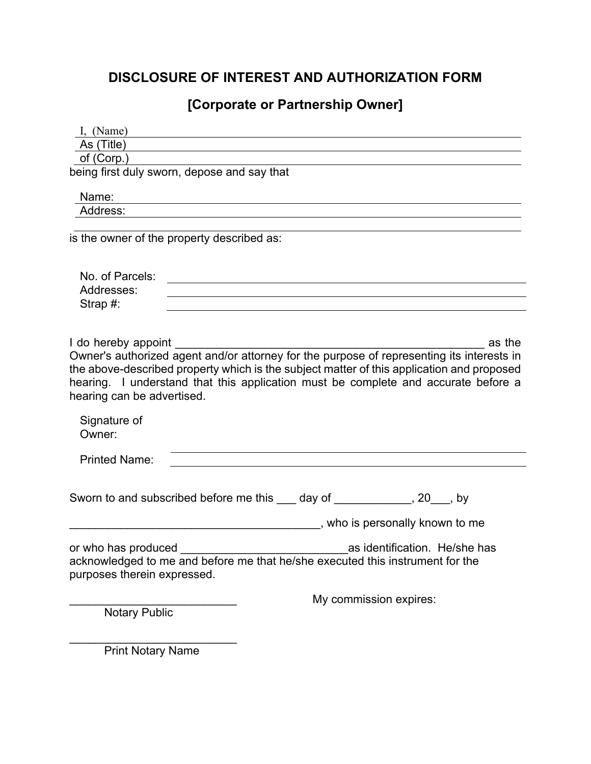## **[Corporate or Partnership Owner]**

| I, (Name)                                          | <u> 1980 - Johann Barn, fransk politik (f. 1980)</u>                                                                                                                                                                                                                         |                                                                                                                      |                                      |        |
|----------------------------------------------------|------------------------------------------------------------------------------------------------------------------------------------------------------------------------------------------------------------------------------------------------------------------------------|----------------------------------------------------------------------------------------------------------------------|--------------------------------------|--------|
| As (Title)                                         |                                                                                                                                                                                                                                                                              |                                                                                                                      |                                      |        |
| of (Corp.)                                         | being first duly sworn, depose and say that                                                                                                                                                                                                                                  | <u> 1989 - Johann Barbara, marka a shekara tsa 1989 - An tsa 1989 - An tsa 1989 - An tsa 1989 - An tsa 1989 - An</u> |                                      |        |
|                                                    |                                                                                                                                                                                                                                                                              |                                                                                                                      |                                      |        |
| Name:<br>Address:                                  |                                                                                                                                                                                                                                                                              |                                                                                                                      |                                      |        |
|                                                    |                                                                                                                                                                                                                                                                              |                                                                                                                      |                                      |        |
|                                                    | is the owner of the property described as:                                                                                                                                                                                                                                   |                                                                                                                      |                                      |        |
|                                                    |                                                                                                                                                                                                                                                                              |                                                                                                                      |                                      |        |
| No. of Parcels:                                    | <u> 1980 - Johann Barn, mars ann an t-Amhain Aonaich an t-Aonaich an t-Aonaich ann an t-Aonaich ann an t-Aonaich</u>                                                                                                                                                         |                                                                                                                      |                                      |        |
| Addresses:<br>Strap#:                              |                                                                                                                                                                                                                                                                              |                                                                                                                      |                                      |        |
|                                                    |                                                                                                                                                                                                                                                                              |                                                                                                                      |                                      |        |
| I do hereby appoint                                |                                                                                                                                                                                                                                                                              |                                                                                                                      |                                      | as the |
| hearing can be advertised.                         | Owner's authorized agent and/or attorney for the purpose of representing its interests in<br>the above-described property which is the subject matter of this application and proposed<br>hearing. I understand that this application must be complete and accurate before a |                                                                                                                      |                                      |        |
|                                                    |                                                                                                                                                                                                                                                                              |                                                                                                                      |                                      |        |
| Signature of<br>Owner:                             |                                                                                                                                                                                                                                                                              |                                                                                                                      |                                      |        |
| <b>Printed Name:</b>                               |                                                                                                                                                                                                                                                                              |                                                                                                                      |                                      |        |
|                                                    | Sworn to and subscribed before me this ___ day of ____________, 20___, by                                                                                                                                                                                                    |                                                                                                                      |                                      |        |
|                                                    |                                                                                                                                                                                                                                                                              |                                                                                                                      | _____, who is personally known to me |        |
| or who has produced<br>purposes therein expressed. | acknowledged to me and before me that he/she executed this instrument for the                                                                                                                                                                                                |                                                                                                                      | as identification. He/she has        |        |
|                                                    |                                                                                                                                                                                                                                                                              |                                                                                                                      | My commission expires:               |        |
| <b>Notary Public</b>                               |                                                                                                                                                                                                                                                                              |                                                                                                                      |                                      |        |
| <b>Print Notary Name</b>                           |                                                                                                                                                                                                                                                                              |                                                                                                                      |                                      |        |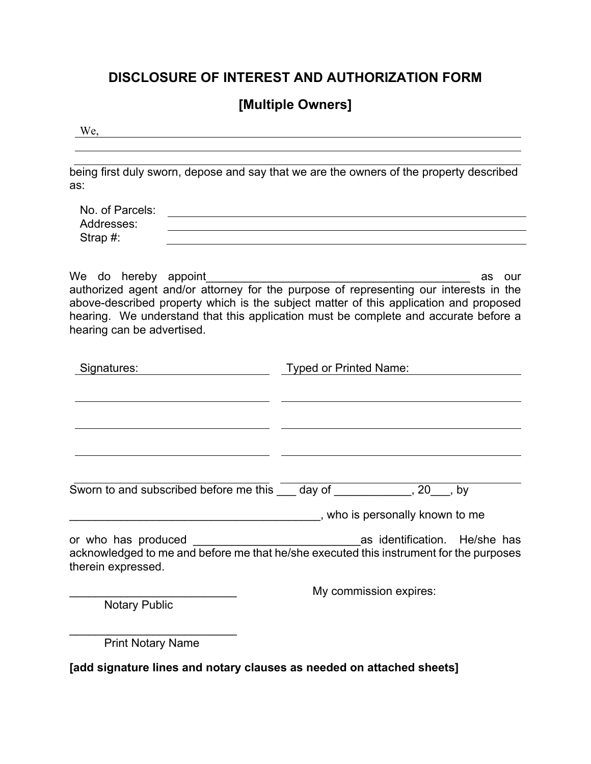### **[Multiple Owners]**

We,

being first duly sworn, depose and say that we are the owners of the property described as:

| No. of Parcels: |  |
|-----------------|--|
| Addresses:      |  |
| Strap #:        |  |

We do hereby appoint\_\_\_\_\_\_\_\_\_\_\_\_\_\_\_\_\_\_\_\_\_\_\_\_\_\_\_\_\_\_\_\_\_\_\_\_\_\_\_\_\_ as our authorized agent and/or attorney for the purpose of representing our interests in the above-described property which is the subject matter of this application and proposed hearing. We understand that this application must be complete and accurate before a hearing can be advertised.

| Signatures:                                        | <b>Typed or Printed Name:</b>                                                                                                                                                                                   |
|----------------------------------------------------|-----------------------------------------------------------------------------------------------------------------------------------------------------------------------------------------------------------------|
|                                                    |                                                                                                                                                                                                                 |
|                                                    |                                                                                                                                                                                                                 |
| Sworn to and subscribed before me this ____ day of | $, 20$ , by                                                                                                                                                                                                     |
|                                                    | who is personally known to me                                                                                                                                                                                   |
| therein expressed.                                 | or who has produced <b>the contract of the contract of the contract of the contract of the contract of the contra</b><br>acknowledged to me and before me that he/she executed this instrument for the purposes |
| <b>Notary Public</b>                               | My commission expires:                                                                                                                                                                                          |
| <b>Print Notary Name</b>                           |                                                                                                                                                                                                                 |

**[add signature lines and notary clauses as needed on attached sheets]**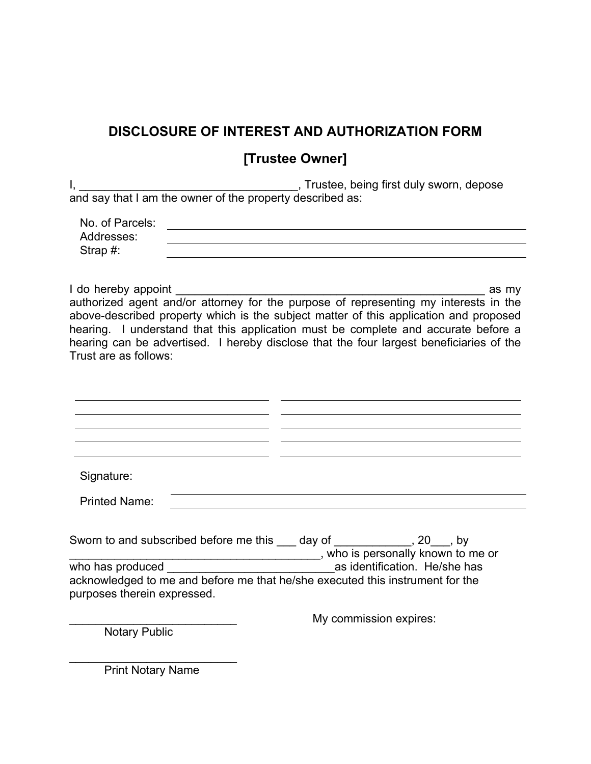**[Trustee Owner]** 

I, \_\_\_\_\_\_\_\_\_\_\_\_\_\_\_\_\_\_\_\_\_\_\_\_\_\_\_\_\_\_\_\_\_\_, Trustee, being first duly sworn, depose and say that I am the owner of the property described as:

| No. of Parcels: |  |
|-----------------|--|
| Addresses:      |  |
| Strap $#$ :     |  |

I do hereby appoint **and a set of the set of the set of the set of the set of the set of the set of the set of** as my

authorized agent and/or attorney for the purpose of representing my interests in the above-described property which is the subject matter of this application and proposed hearing. I understand that this application must be complete and accurate before a hearing can be advertised. I hereby disclose that the four largest beneficiaries of the Trust are as follows:

| Signature:                                                                                                        |                                    |  |
|-------------------------------------------------------------------------------------------------------------------|------------------------------------|--|
| <b>Printed Name:</b>                                                                                              |                                    |  |
| Sworn to and subscribed before me this ____ day of _____________, 20___, by                                       |                                    |  |
|                                                                                                                   | , who is personally known to me or |  |
| who has produced and a series of the series of the series of the series of the series of the series of the series | as identification. He/she has      |  |
| acknowledged to me and before me that he/she executed this instrument for the<br>purposes therein expressed.      |                                    |  |
|                                                                                                                   | Mu commingion ovnirogu             |  |

Notary Public

My commission expires:

\_\_\_\_\_\_\_\_\_\_\_\_\_\_\_\_\_\_\_\_\_\_\_\_\_\_ Print Notary Name